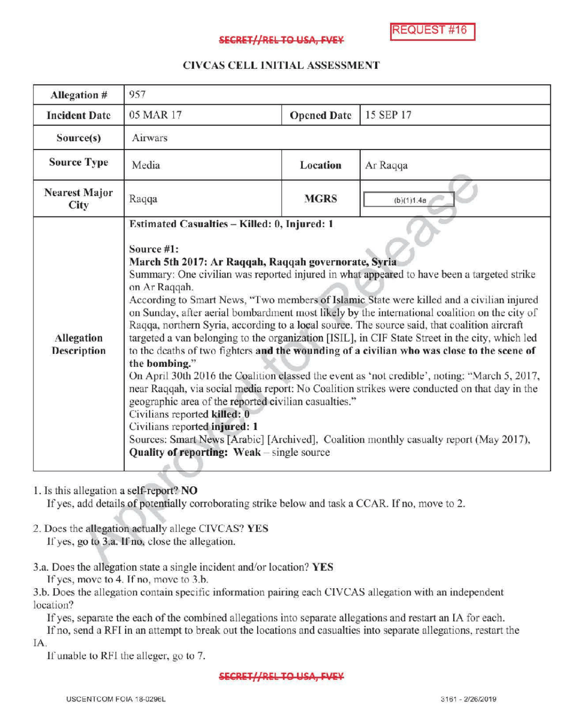**REQUEST #16** 

## SECRET//REL TO USA, FVEY

# CIVCAS CELL INITIALASSESSMENT

| Allegation #                            | 957                                                                                                                                                                                                                                                                                                                                                                                                                                                                                                                                                                                                                                                                                                                                                                                                                                                                                                                                                                                                                                                                                                                                                                                                                  |                    |            |
|-----------------------------------------|----------------------------------------------------------------------------------------------------------------------------------------------------------------------------------------------------------------------------------------------------------------------------------------------------------------------------------------------------------------------------------------------------------------------------------------------------------------------------------------------------------------------------------------------------------------------------------------------------------------------------------------------------------------------------------------------------------------------------------------------------------------------------------------------------------------------------------------------------------------------------------------------------------------------------------------------------------------------------------------------------------------------------------------------------------------------------------------------------------------------------------------------------------------------------------------------------------------------|--------------------|------------|
| <b>Incident Date</b>                    | 05 MAR 17                                                                                                                                                                                                                                                                                                                                                                                                                                                                                                                                                                                                                                                                                                                                                                                                                                                                                                                                                                                                                                                                                                                                                                                                            | <b>Opened Date</b> | 15 SEP 17  |
| Source(s)                               | Airwars                                                                                                                                                                                                                                                                                                                                                                                                                                                                                                                                                                                                                                                                                                                                                                                                                                                                                                                                                                                                                                                                                                                                                                                                              |                    |            |
| <b>Source Type</b>                      | Media                                                                                                                                                                                                                                                                                                                                                                                                                                                                                                                                                                                                                                                                                                                                                                                                                                                                                                                                                                                                                                                                                                                                                                                                                | Location           | Ar Raqqa   |
| <b>Nearest Major</b><br>City            | Raqqa                                                                                                                                                                                                                                                                                                                                                                                                                                                                                                                                                                                                                                                                                                                                                                                                                                                                                                                                                                                                                                                                                                                                                                                                                | <b>MGRS</b>        | (b)(1)1.4a |
| <b>Allegation</b><br><b>Description</b> | Estimated Casualties - Killed: 0, Injured: 1<br>Source #1:<br>March 5th 2017: Ar Raqqah, Raqqah governorate, Syria<br>Summary: One civilian was reported injured in what appeared to have been a targeted strike<br>on Ar Raqqah.<br>According to Smart News, "Two members of Islamic State were killed and a civilian injured<br>on Sunday, after aerial bombardment most likely by the international coalition on the city of<br>Raqqa, northern Syria, according to a local source. The source said, that coalition aircraft<br>targeted a van belonging to the organization [ISIL], in CIF State Street in the city, which led<br>to the deaths of two fighters and the wounding of a civilian who was close to the scene of<br>the bombing."<br>On April 30th 2016 the Coalition classed the event as 'not credible', noting: "March 5, 2017,<br>near Raqqah, via social media report: No Coalition strikes were conducted on that day in the<br>geographic area of the reported civilian casualties."<br>Civilians reported killed: 0<br>Civilians reported injured: 1<br>Sources: Smart News [Arabic] [Archived], Coalition monthly casualty report (May 2017),<br>Quality of reporting: Weak - single source |                    |            |

1. Is this allegation a self-report? NO

If yes, add details of potentially corroborating strike below and task a CCAR. If no, move to 2.

2. Does the allegation actually allege CIVCAS? YES

If yes, go to 3.a. If no, close the allegation.

3.a. Does the allegation state a single incident and/or location? YES

If yes, move to  $4$ . If no, move to  $3.b$ .

3.b. Does the allegation contain specific information pairing each CIVCAS allegation with an independent location?

Ifyes, separate the each of the combined allegations into separate allegations and restart an IA for each.

Ifno, send <sup>a</sup> RFI in an attempt to break out the locations and casualties into separate allegations, restart the IA.

If unable to RFI the alleger, go to 7.

### SECRET//REL TO USA, FVEY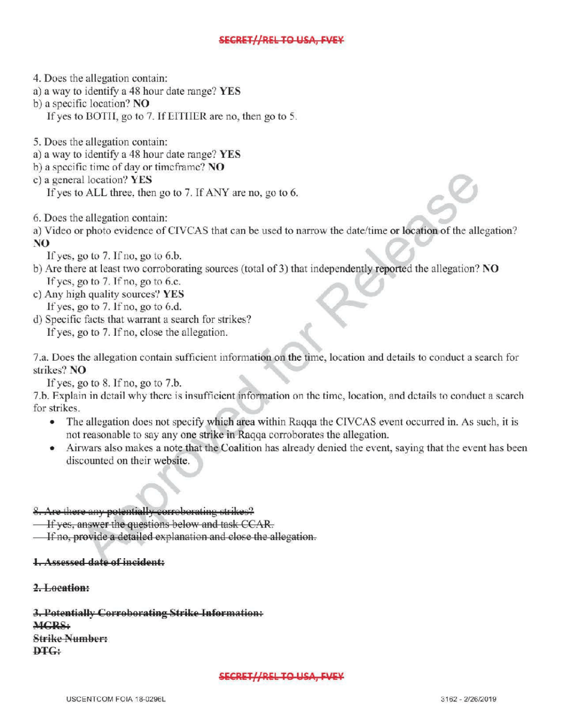# SECRET//REL TO USA, FVEY

4. Does the allegation contain:

- a) <sup>a</sup> way to identify <sup>a</sup> 48 hour date range? YES
- b) a specific location? NO
	- If yes to BOTH, go to 7. If EITHER are no, then go to 5.
- 5. Does the allegation contain:
- a) <sup>a</sup> way to identify a 48 hour date range? YES
- b) a specific time of day or timeframe?  $NO$
- <sup>c</sup> ) <sup>a</sup> general location? YES
	- If yes to ALL three, then go to 7. If ANY are no, go to 6.
- 6. Does the allegation contain:
- a) Video or photo evidence of CIVCAS that can be used to narrow the date/ time or location of the allegation? NO
- - If yes, go to  $7.$  If no, go to  $6.b$ .
- b) Are there at least two corroborating sources (total of 3) that independently reported the allegation? NO If yes, go to  $7.$  If no, go to 6.c. If yes, go to 7. If no, go to 6.c.<br>Any high quality sources? YES<br>If yes, go to 7. If no, go to 6.d.<br>Specific facts that warrant a search for strikes?<br>If yes, go to 7. If no, close the allegation.
- c) Any high quality sources? YES If yes, go to 7. If no, go to 6.d.
- d) Specific facts that warrant a search for strikes ?

7.a. Does the allegation contain sufficient information on the time, location and details to conduct a search for strikes? NO

If yes, go to  $8$ . If no, go to  $7.b$ .

7.b. Explain in detail why there is insufficient information on the time, location, and details to conduct <sup>a</sup> search for strikes.

- The allegation does not specify which area within Raqqa the CIVCAS event occurred in. As such, it is not reasonable to say any one strike in Raqqa corroborates the allegation.
- Airwars also makes a note that the Coalition has already denied the event, saying that the event has been discounted on their website.

## 8. Are there any potentially correborating strikes?

- **If ves, answer the questions below and task CCAR.**
- If no, provide a detailed explanation and close the allegation.

### 1. Assessed date of incident:

2. Location:

3. Potentially Corroborating Strike Information: MCRS: **Strike Number:**  $DTG:$ 

#### SECRET//REL TO USA, FVEY